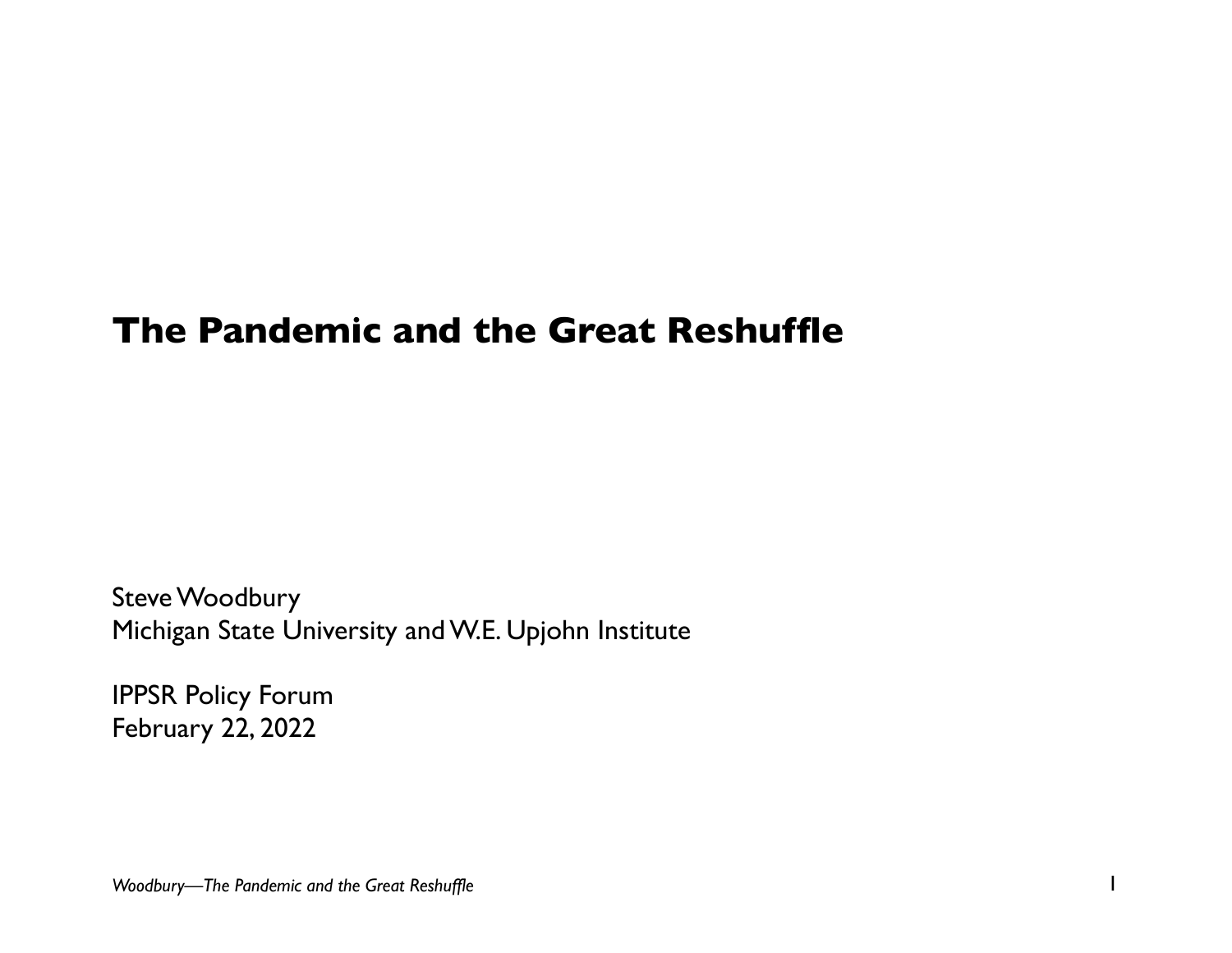# **The Pandemic and the Great Reshuffle**

Steve Woodbury Michigan State University and W.E. Upjohn Institute

IPPSR Policy Forum February 22, 2022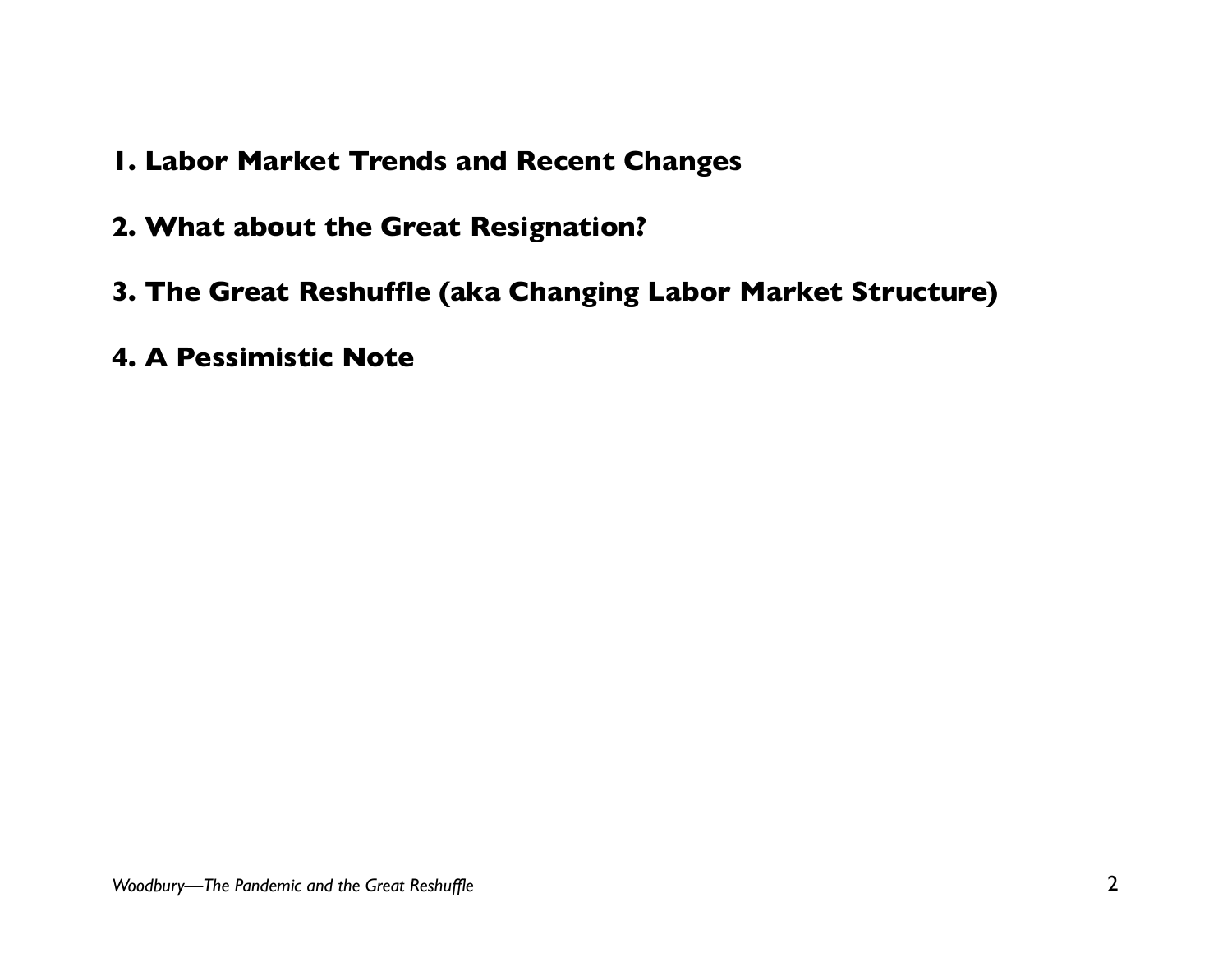- **1. Labor Market Trends and Recent Changes**
- **2. What about the Great Resignation?**
- **3. The Great Reshuffle (aka Changing Labor Market Structure)**
- **4. A Pessimistic Note**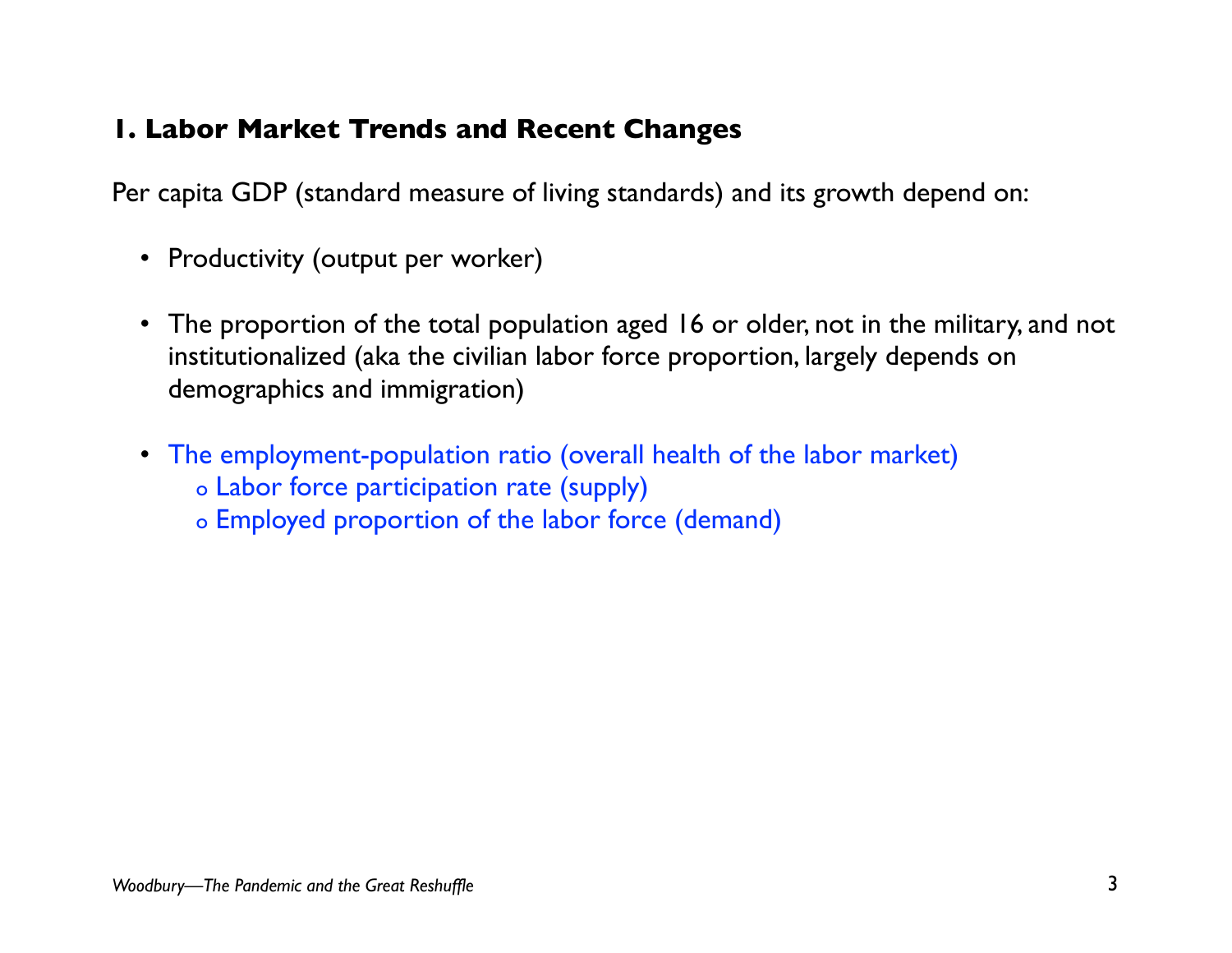#### **1. Labor Market Trends and Recent Changes**

Per capita GDP (standard measure of living standards) and its growth depend on:

- Productivity (output per worker)
- The proportion of the total population aged 16 or older, not in the military, and not institutionalized (aka the civilian labor force proportion, largely depends on demographics and immigration)
- The employment-population ratio (overall health of the labor market) o Labor force participation rate (supply)
	- o Employed proportion of the labor force (demand)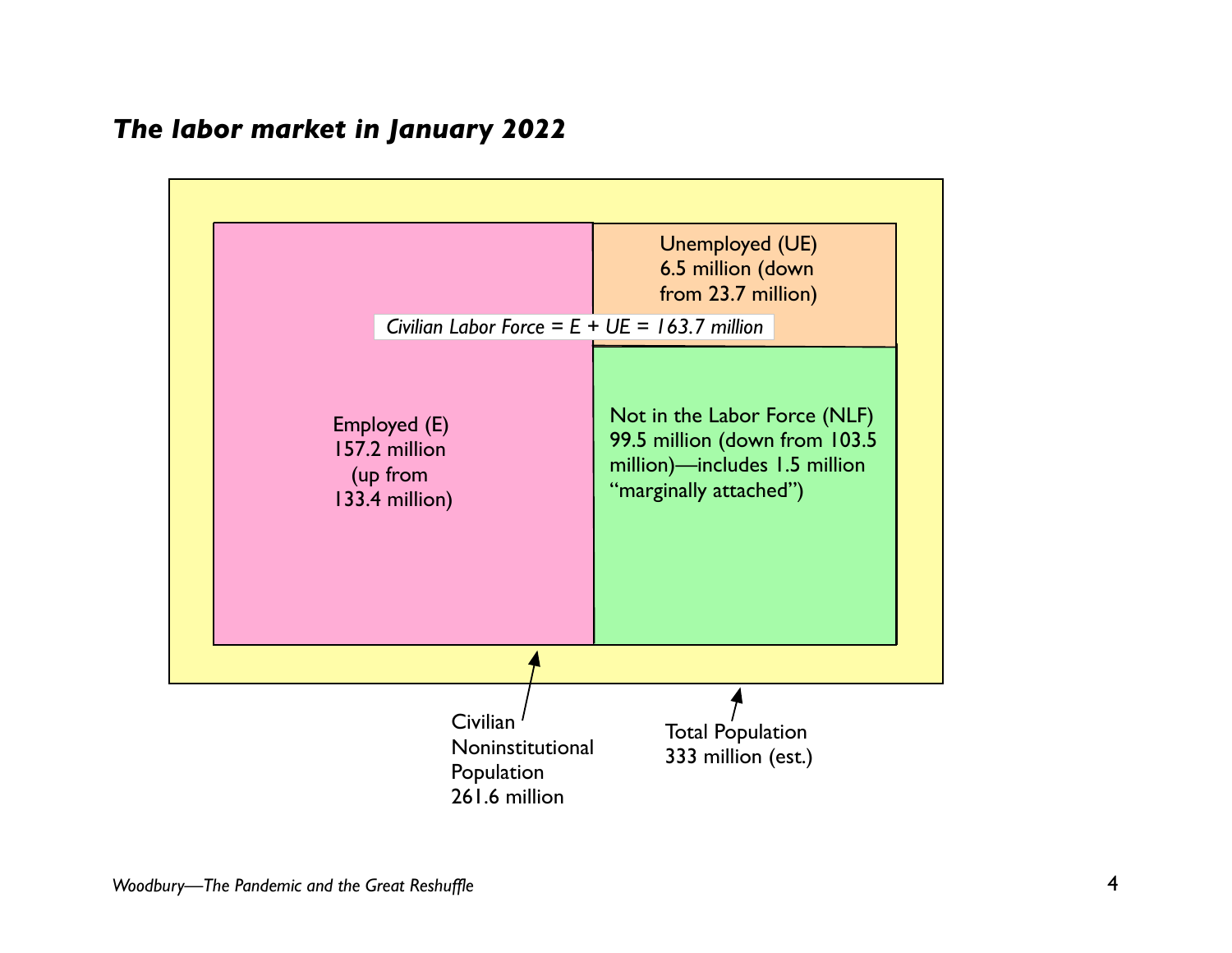#### *The labor market in January 2022*

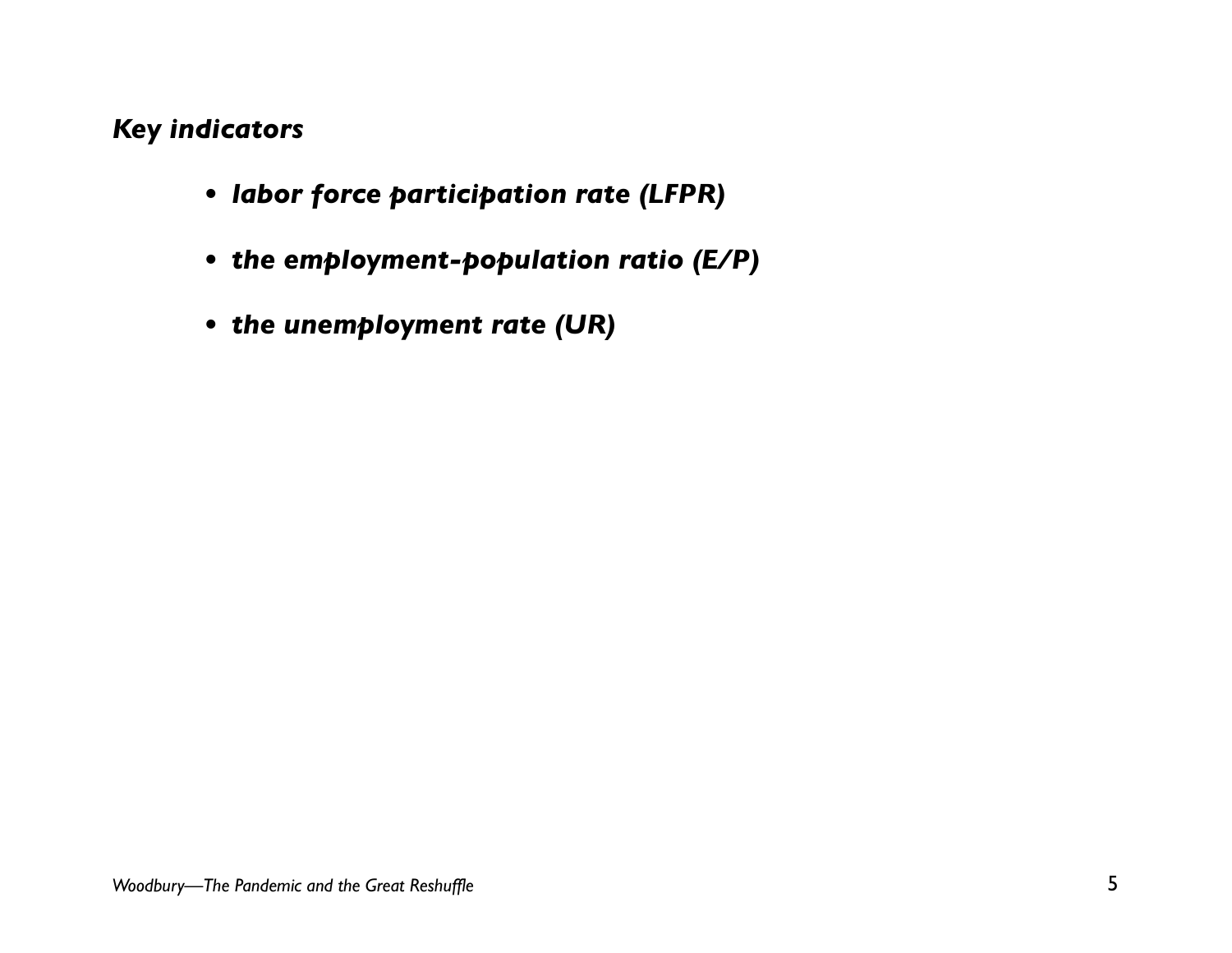#### *Key indicators*

- *• labor force participation rate (LFPR)*
- *• the employment-population ratio (E/P)*
- *• the unemployment rate (UR)*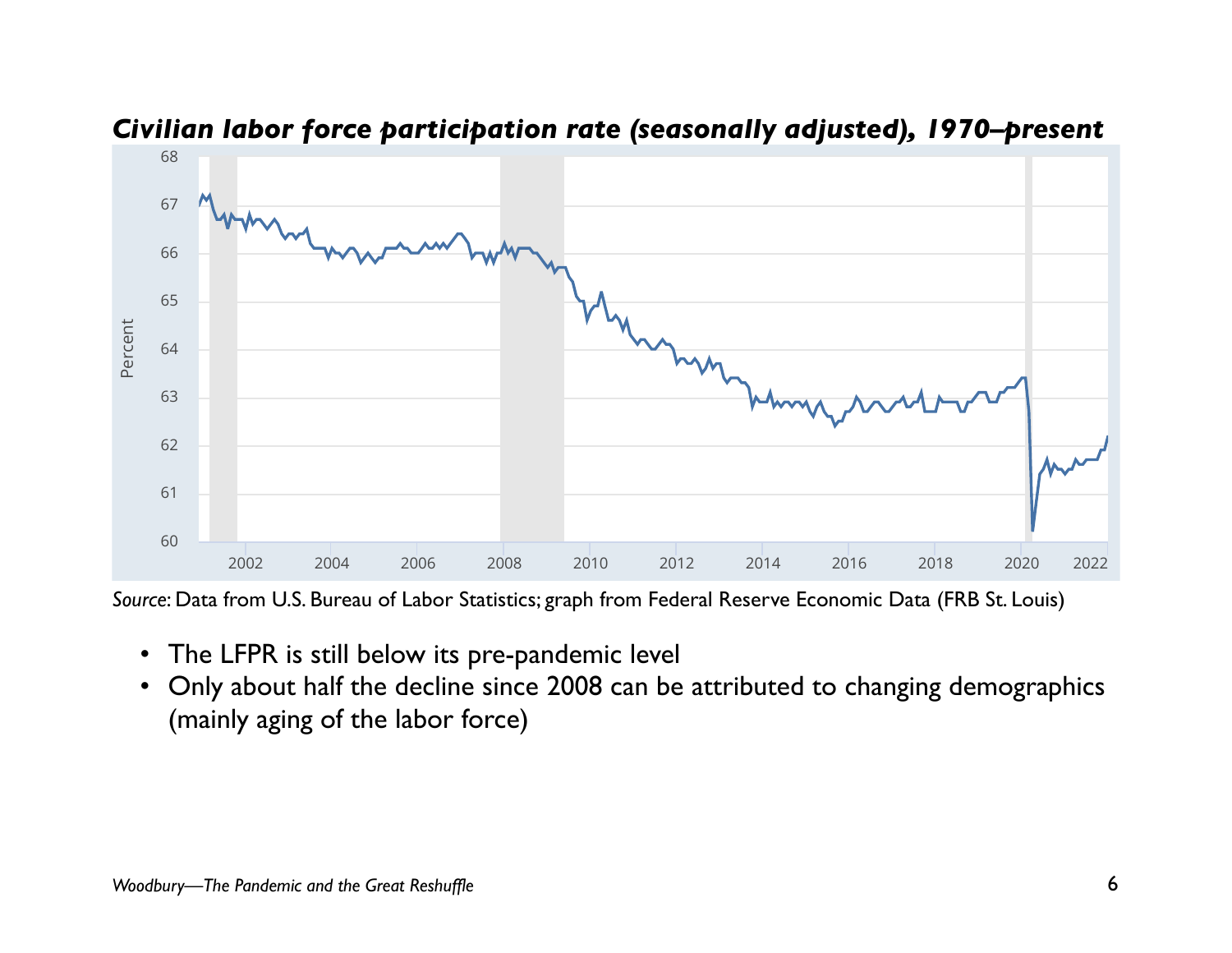



## Civilian labor force participation rate (seasonally adjusted), 1970–present

*Source*: Data from U.S. Bureau of Labor Statistics; graph from Federal Reserve Economic Data (FRB St. Louis) #\$%" #\$&% !"""

- The LFPR is still below its pre-pandemic level
- Only about half the decline since 2008 can be attributed to changing demographics sha(mainly aging of the labor force)

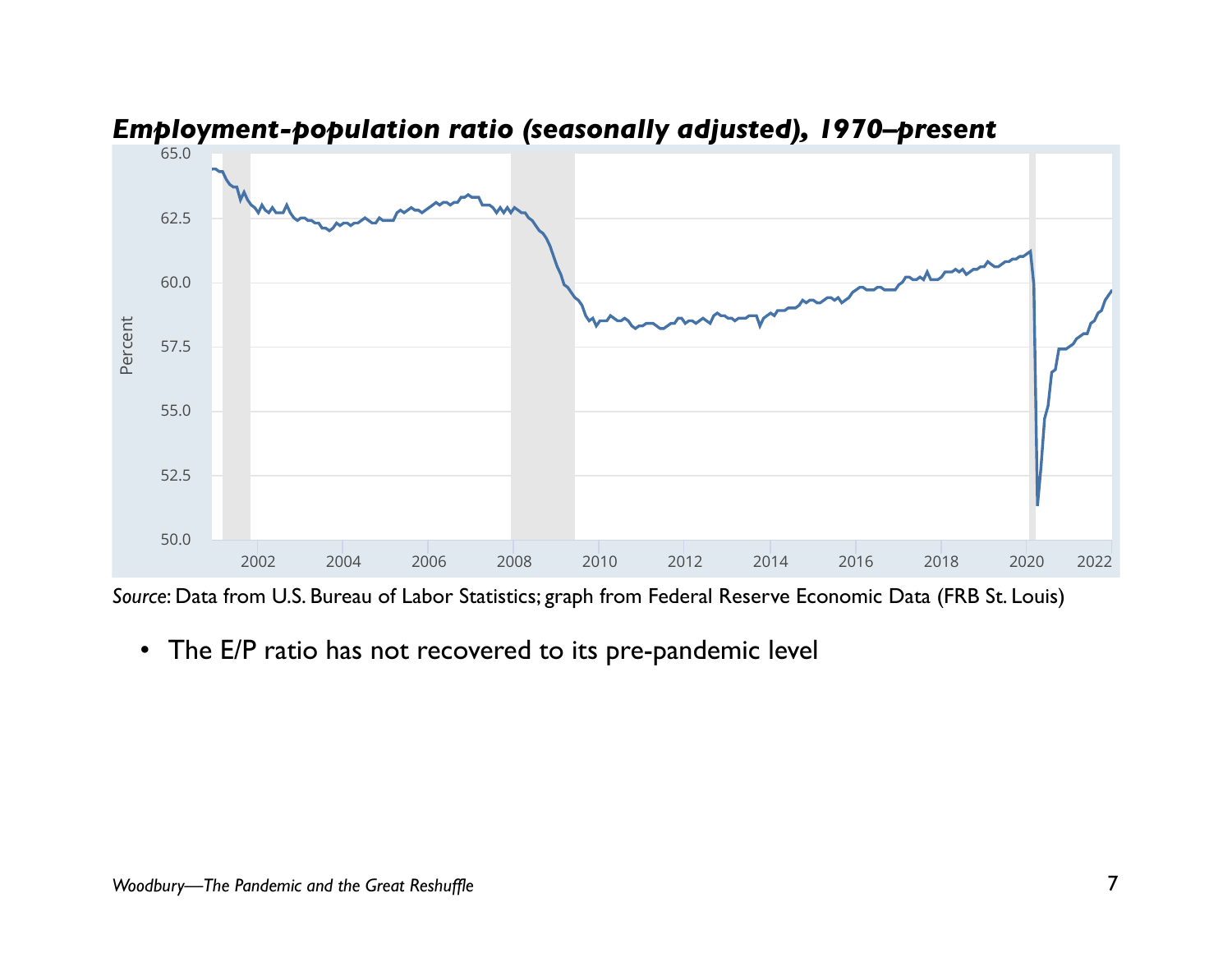

*Employment-population ratio (seasonally adjusted), 1970–present* 1234562,/07+538490:5/;<90:5 1234562,/07+538490:5/;<90:5

• The E/P ratio has not recovered to its pre-pandemic level



**Frequency:** Monthly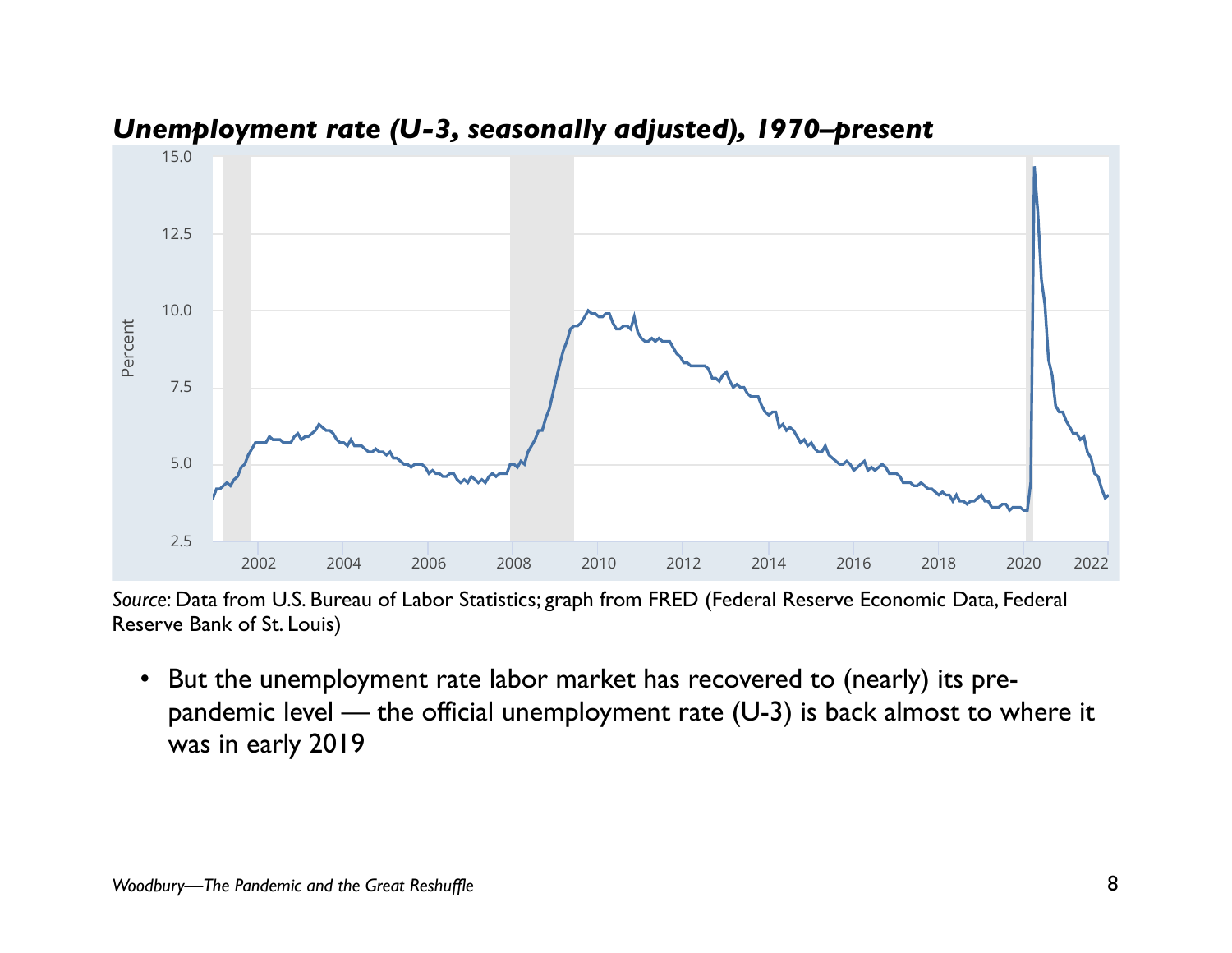



## Unemployment rate (U-3, seasonally adjusted), 1970-present

Source: Data from U.S. Bureau of Labor Statistics; graph from FRED (Federal Reserve Economic <del>Data, F</del>ederal )<br>P Reserve Bank of St. Louis)

• But the unemployment rate labor market has recovered to (nearly) its prepandemic level — the official unemployment rate (U-3) is back almost to where it was in early 2019 Bandeling fever — the omicial differition rate (O-5) is back alliest to where it

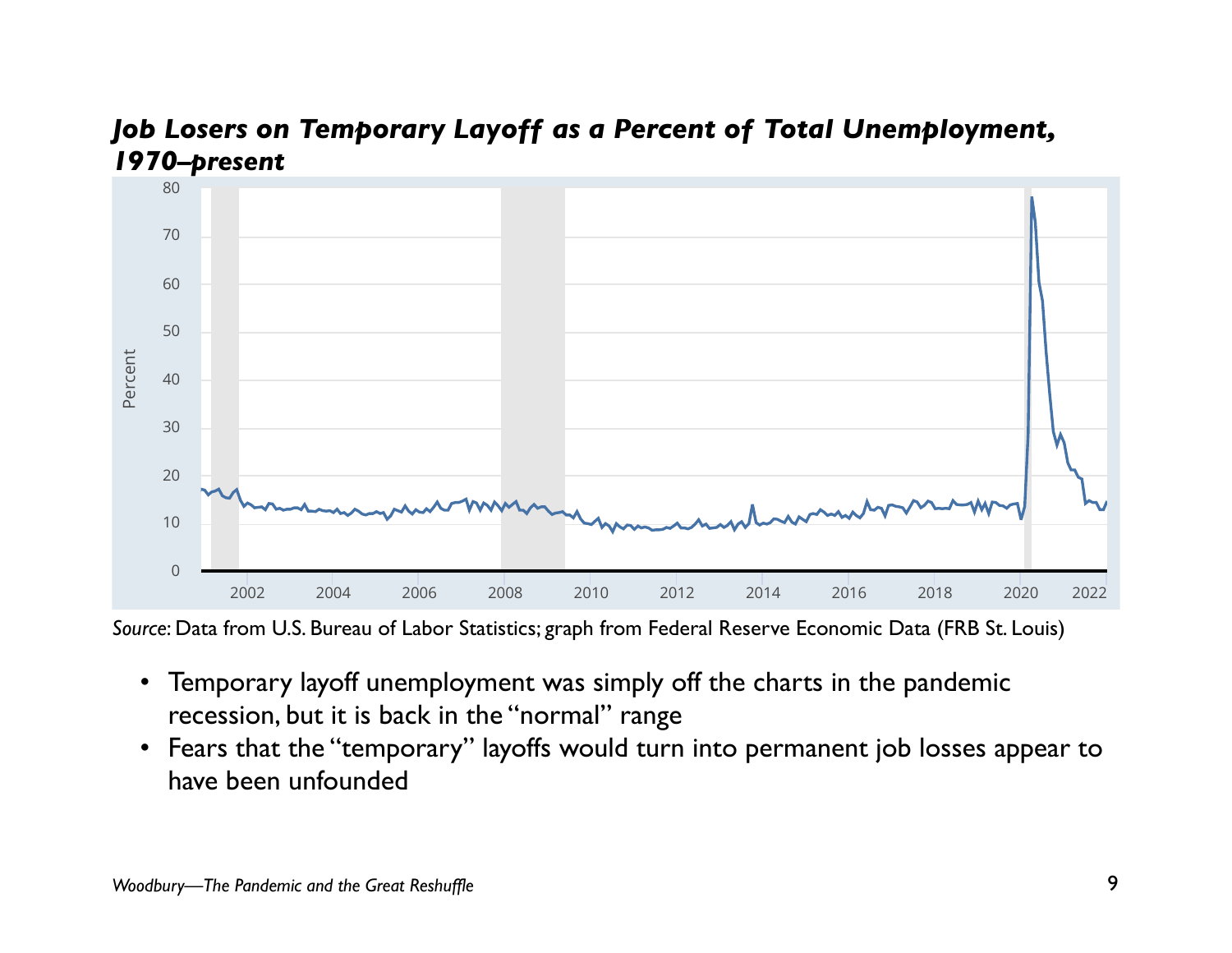





Source: Data from U.S. Bureau of Labor Statistics; graph from Federal Reserve Economic Data (FRB St. Louis)

- Temporary layoff unemployment was simply off the charts in the pandemic  $\,$ recession, but it is back in the "normal" range
- share Links that the "temporary" layoffs would turn into permanent job losses appear to have been unfounded

**Units:** Percent, Seasonally Adjusted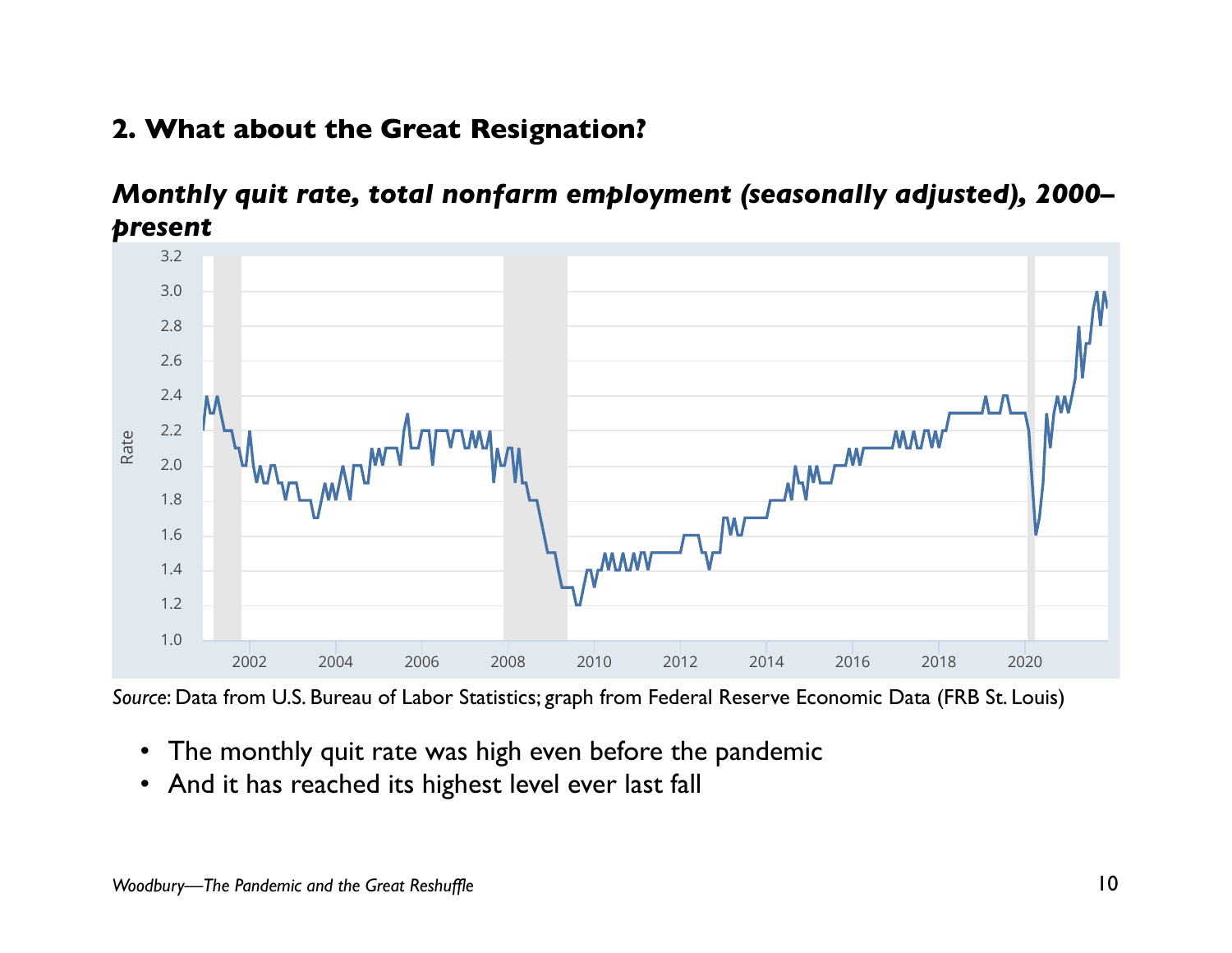#### **2. What about the Great Resignation?**  $\cdots$   $\cdots$   $\cdots$   $\cdots$   $\cdots$ Rate,  $\pi$ Greating



### *Monthly quit rate, total nonfarm employment (seasonally adjusted), 2000– present*



Source: Data from U.S. Bureau of Labor Statistics; graph from Federal Reserve Economic Data (FRB St. Louis)

- The monthly quit rate was high even before the pandemic
- And it has reached its highest level ever last fall

Share Links  $\mathscr{P}$  and Account Tools  $\mathscr{P}$  and  $\mathscr{P}$  are  $\mathscr{P}$  and  $\mathscr{P}$  are  $\mathscr{P}$  and  $\mathscr{P}$  are  $\mathscr{P}$  are  $\mathscr{P}$  and  $\mathscr{P}$  are  $\mathscr{P}$  are  $\mathscr{P}$  are  $\mathscr{P}$  and  $\mathscr{P}$  are  $\mathscr{P}$  are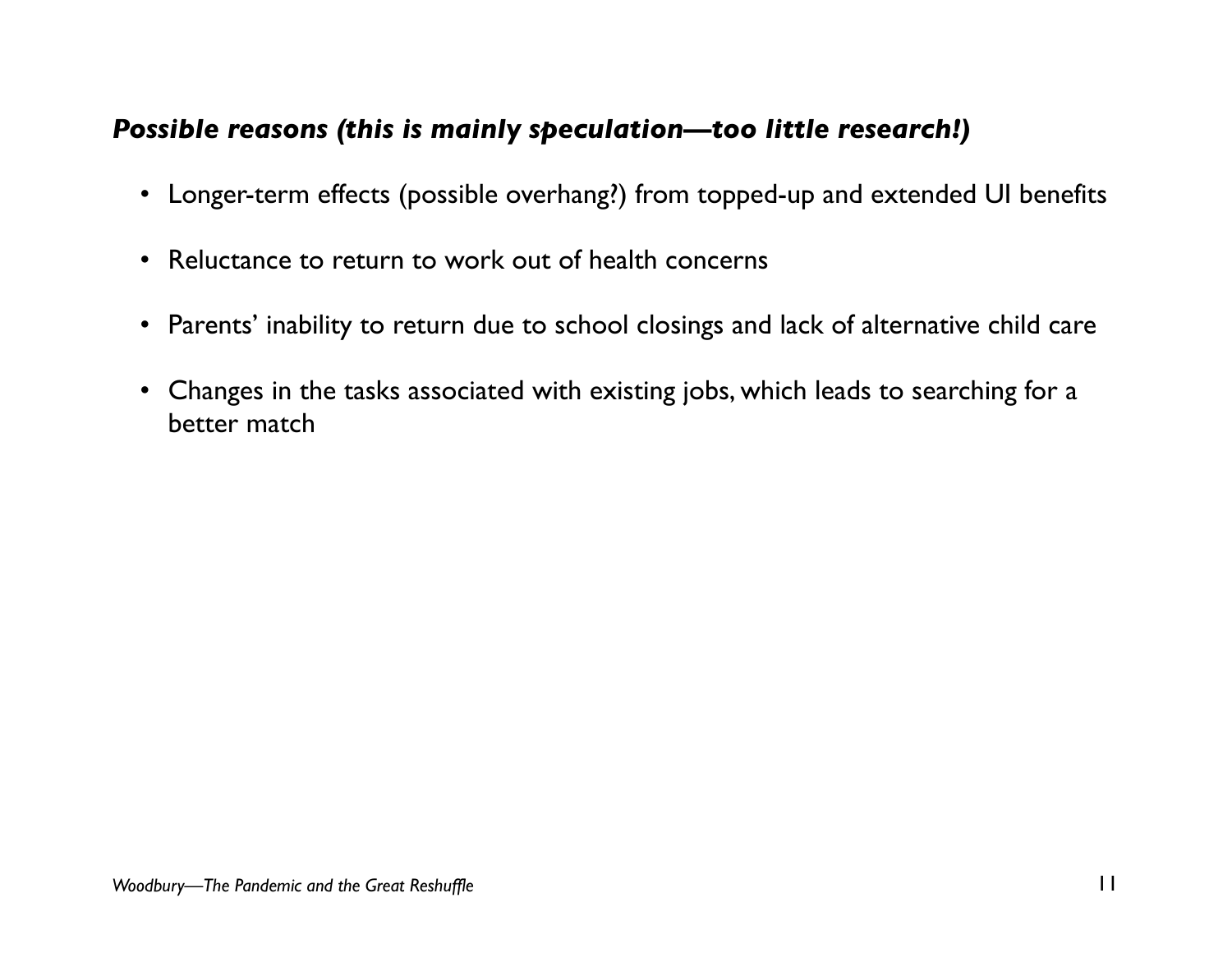#### *Possible reasons (this is mainly speculation—too little research!)*

- Longer-term effects (possible overhang?) from topped-up and extended UI benefits
- Reluctance to return to work out of health concerns
- Parents' inability to return due to school closings and lack of alternative child care
- Changes in the tasks associated with existing jobs, which leads to searching for a better match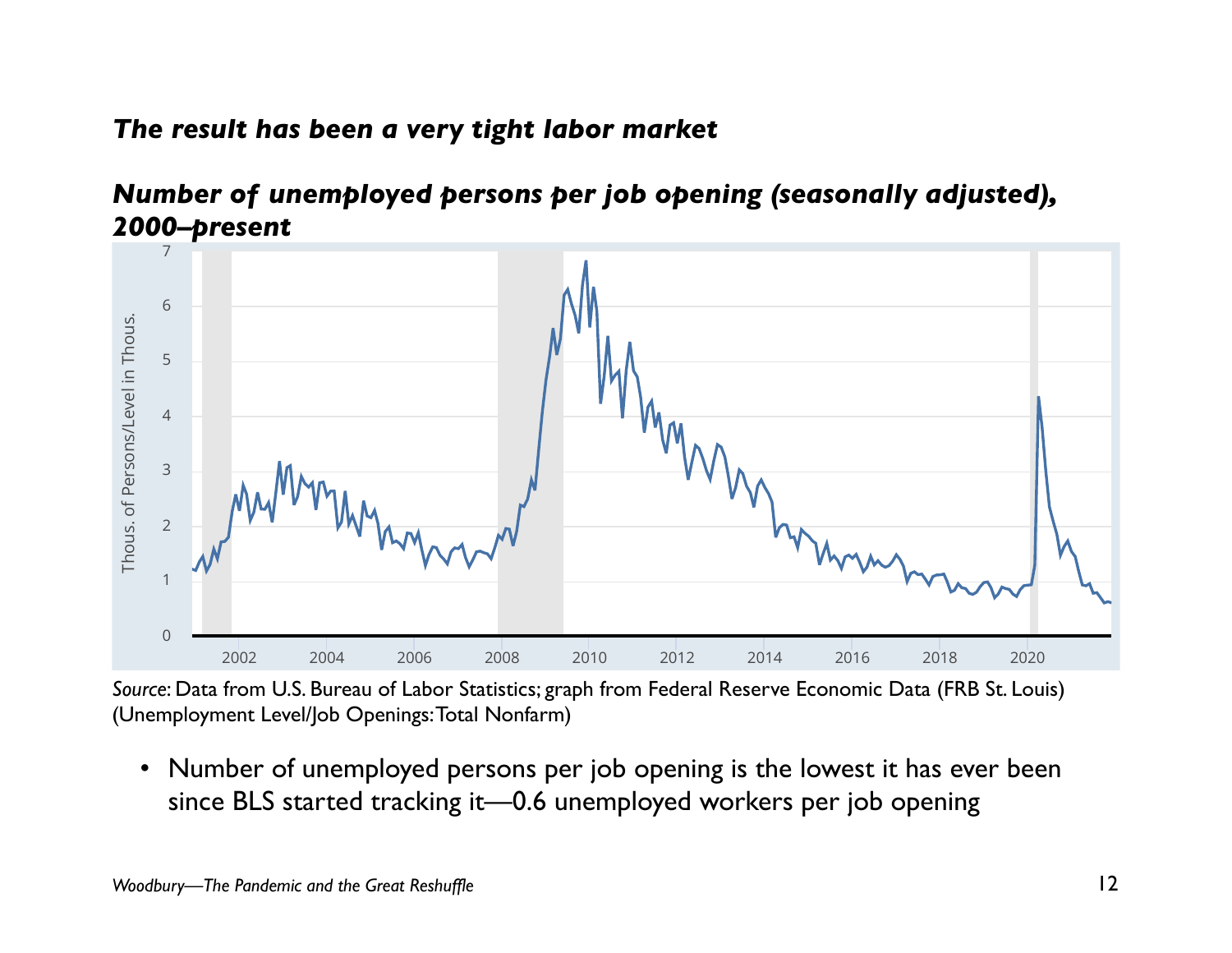#### *The result has been a very tight labor market*  2000-12-01 2021-12-01

#### *Number of unemployed persons per job opening (seasonally adjusted), 2000–present*



*Source*: Data from U.S. Bureau of Labor Statistics; graph from Federal Reserve Economic Data (FRB St. Louis) (Unemployment Level/Job Openings: Total Nonfarm)

• Number of unemployed persons per job opening is the lowest it has ever been since BLS started tracking it—0.6 unemployed workers per job opening Share Links  $\mathscr{I}$  Account Tools  $\mathscr{I}$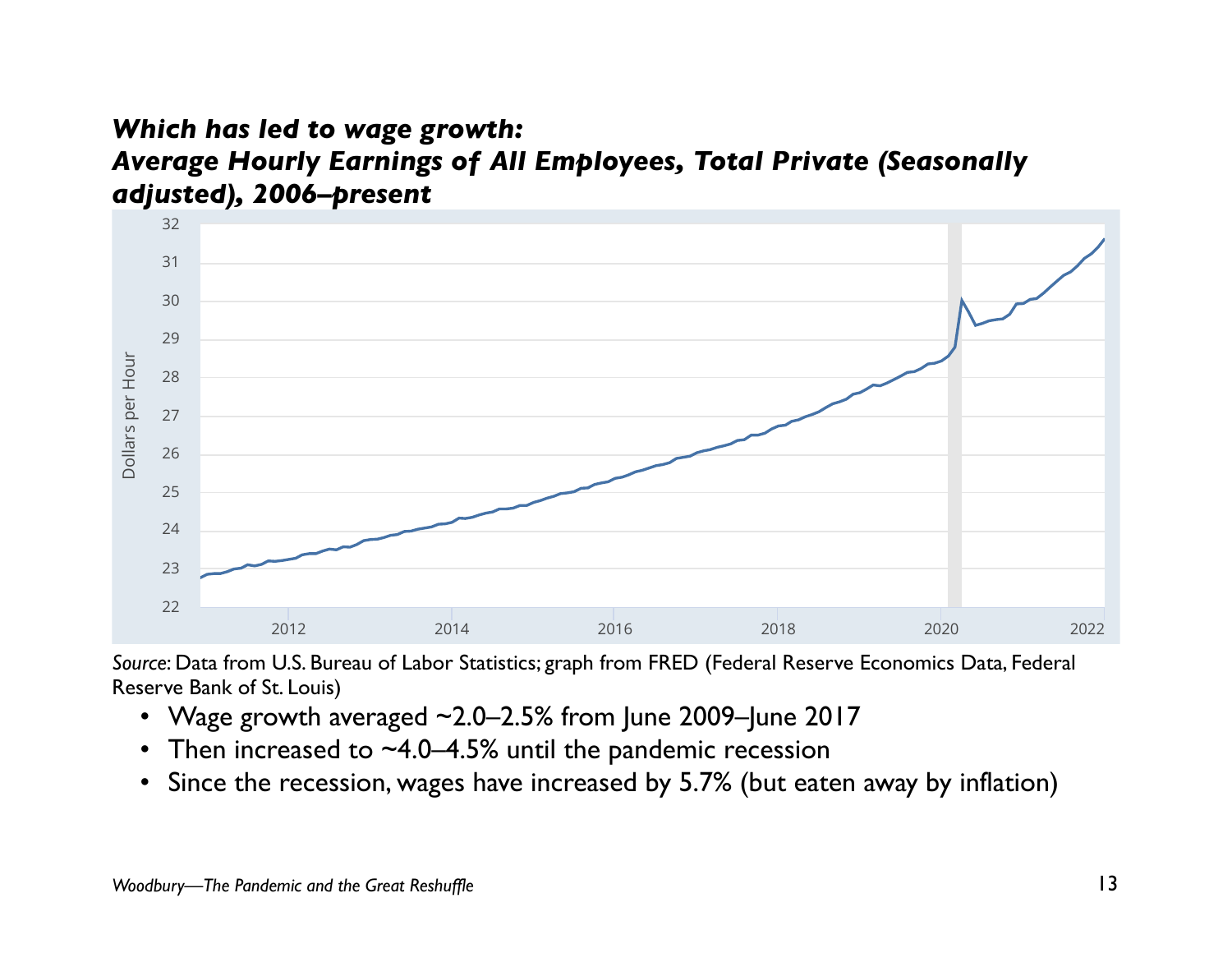



*Source*: Data from U.S. Bureau of Labor Statistics; graph from FRED (Federal Reserve Economics Data, Federal Reserve Bank of St. Louis) !"#" !"#\$ !"!"

- Wage growth averaged  $\sim$ 2.0–2.5% from June 2009–June 2017
- Then increased to  $~1.0-4.5%$  until the pandemic recession
- $\bullet$  Since the recession, wages have increased by 5.7% (but eaten away by inflation)

NOTES *Woodbury—The Pandemic and the Great Reshuffle* 13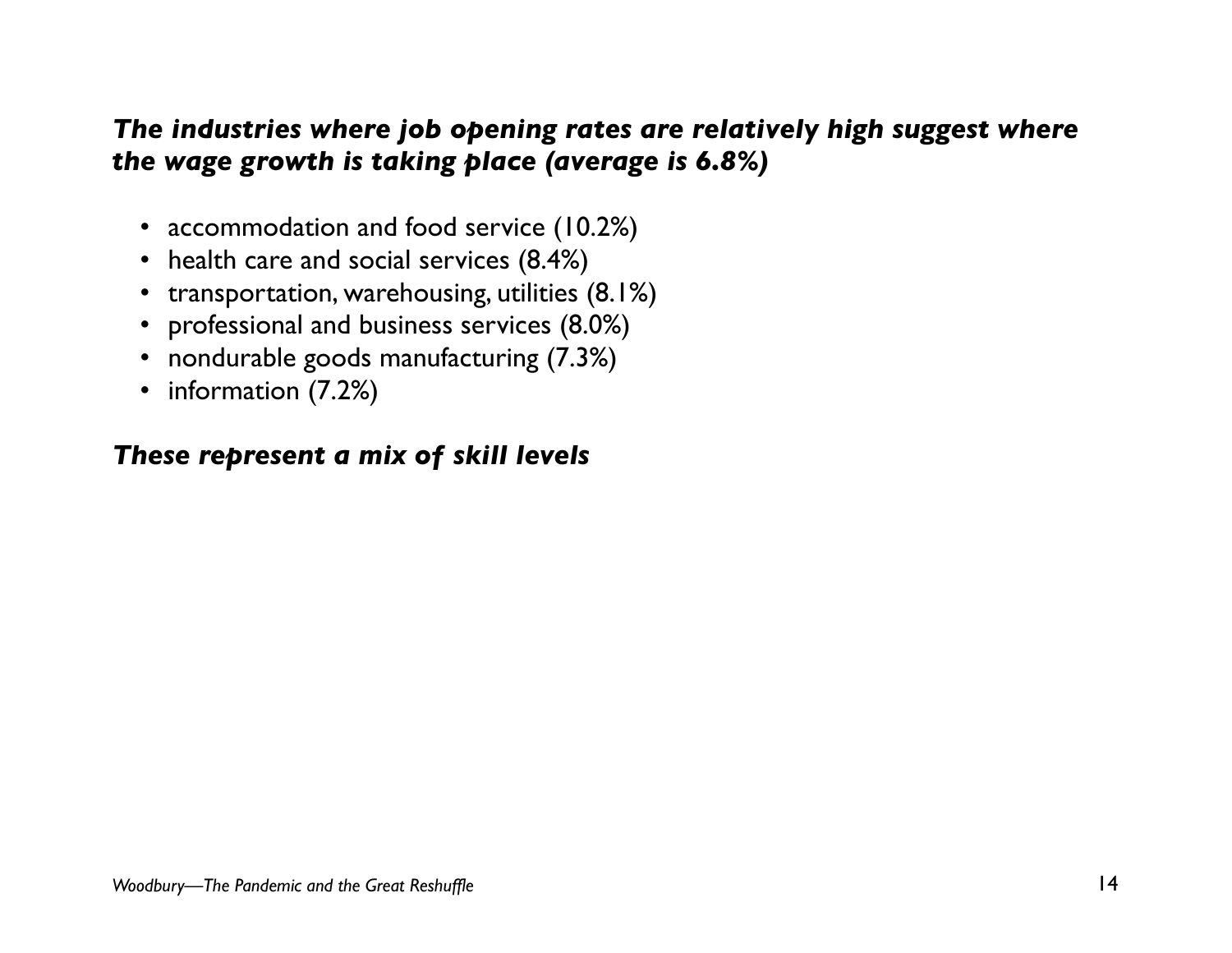### *The industries where job opening rates are relatively high suggest where the wage growth is taking place (average is 6.8%)*

- accommodation and food service (10.2%)
- health care and social services (8.4%)
- transportation, warehousing, utilities (8.1%)
- professional and business services (8.0%)
- nondurable goods manufacturing (7.3%)
- information (7.2%)

#### *These represent a mix of skill levels*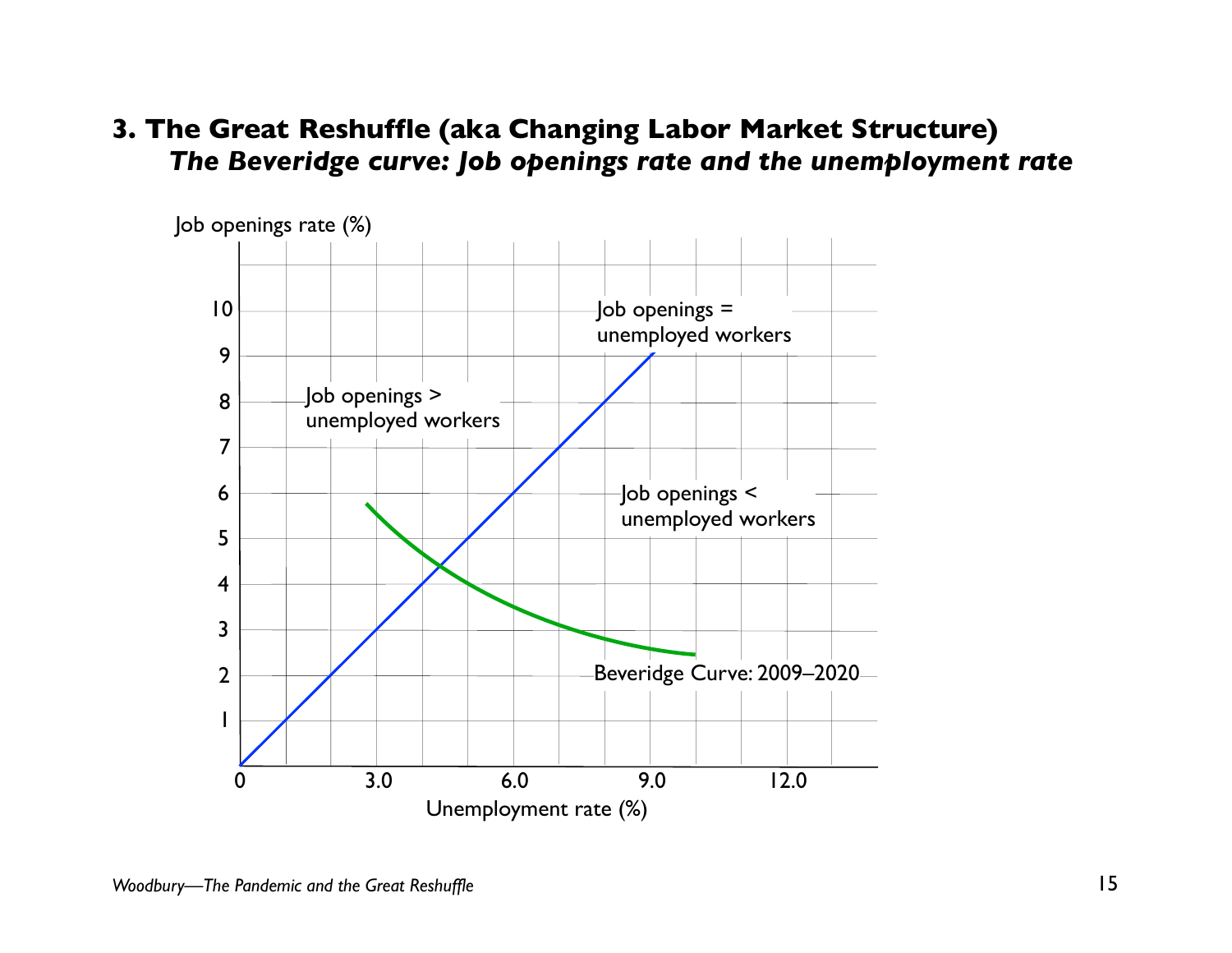#### **3. The Great Reshuffle (aka Changing Labor Market Structure)**  *The Beveridge curve: Job openings rate and the unemployment rate*

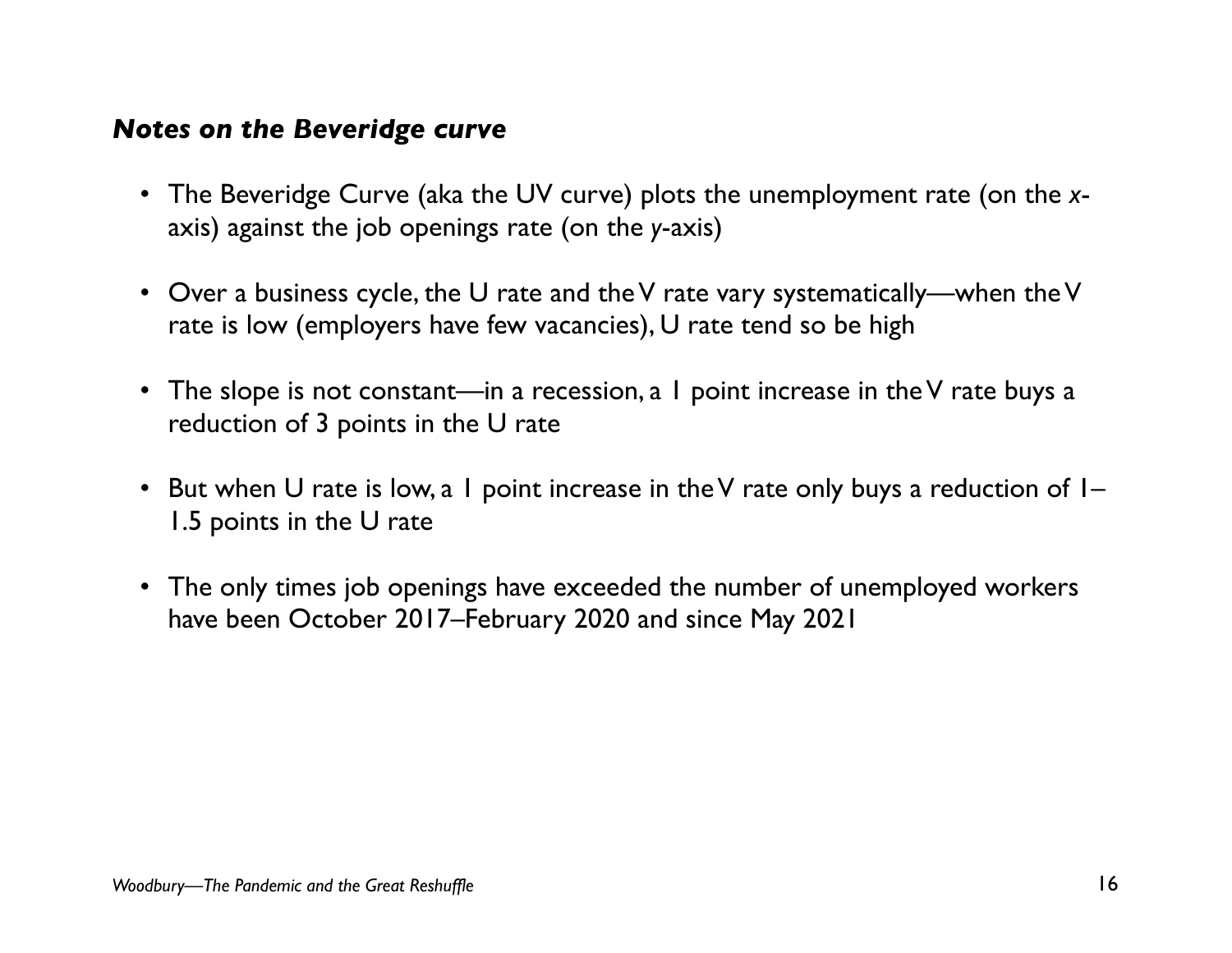#### *Notes on the Beveridge curve*

- The Beveridge Curve (aka the UV curve) plots the unemployment rate (on the *x*axis) against the job openings rate (on the *y*-axis)
- Over a business cycle, the U rate and the V rate vary systematically—when the V rate is low (employers have few vacancies), U rate tend so be high
- The slope is not constant—in a recession, a I point increase in the V rate buys a reduction of 3 points in the U rate
- But when U rate is low, a 1 point increase in the V rate only buys a reduction of  $I-$ 1.5 points in the U rate
- The only times job openings have exceeded the number of unemployed workers have been October 2017–February 2020 and since May 2021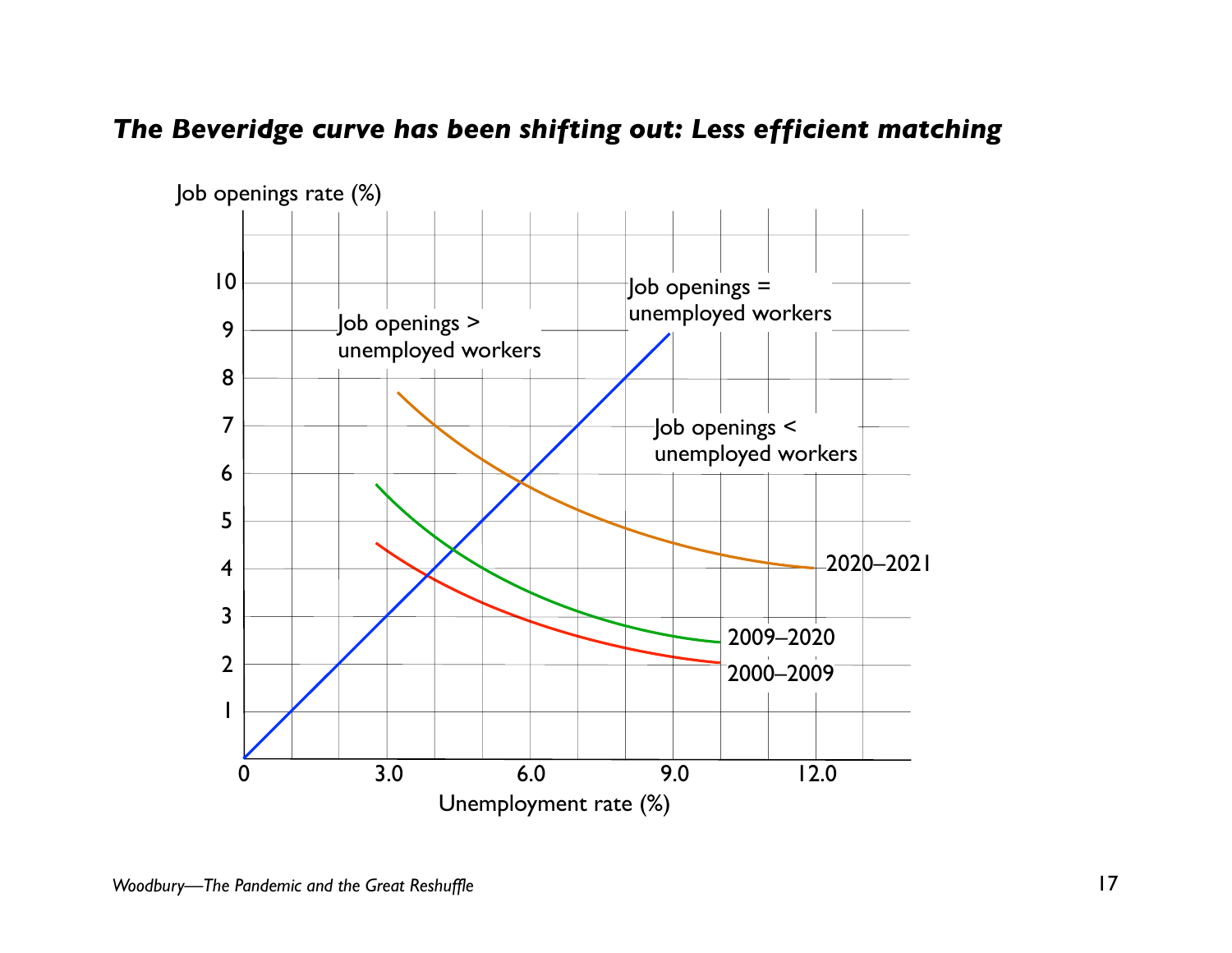#### *The Beveridge curve has been shifting out: Less efficient matching*

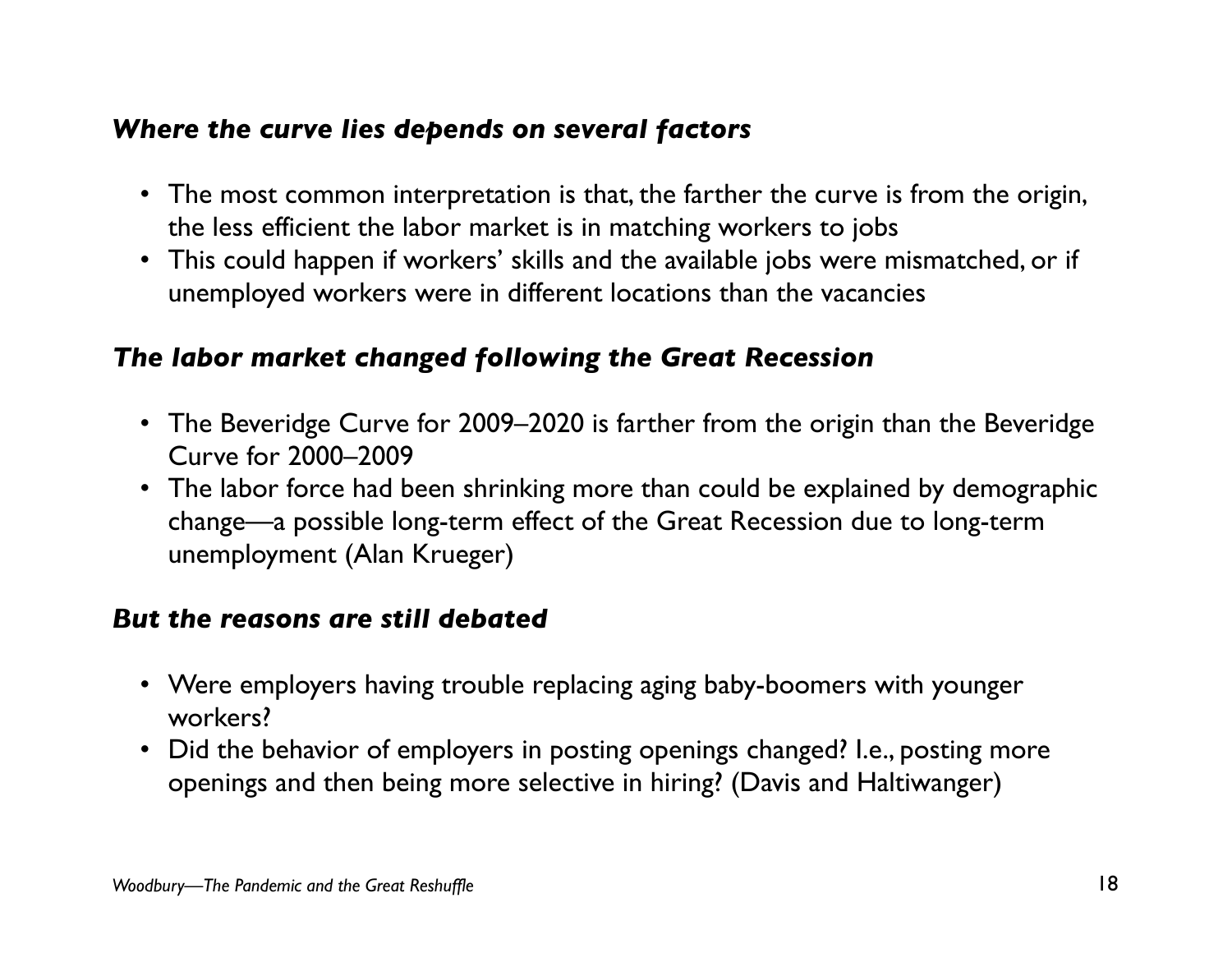#### *Where the curve lies depends on several factors*

- The most common interpretation is that, the farther the curve is from the origin, the less efficient the labor market is in matching workers to jobs
- This could happen if workers' skills and the available jobs were mismatched, or if unemployed workers were in different locations than the vacancies

#### *The labor market changed following the Great Recession*

- The Beveridge Curve for 2009–2020 is farther from the origin than the Beveridge Curve for 2000–2009
- The labor force had been shrinking more than could be explained by demographic change—a possible long-term effect of the Great Recession due to long-term unemployment (Alan Krueger)

#### *But the reasons are still debated*

- Were employers having trouble replacing aging baby-boomers with younger workers?
- Did the behavior of employers in posting openings changed? I.e., posting more openings and then being more selective in hiring? (Davis and Haltiwanger)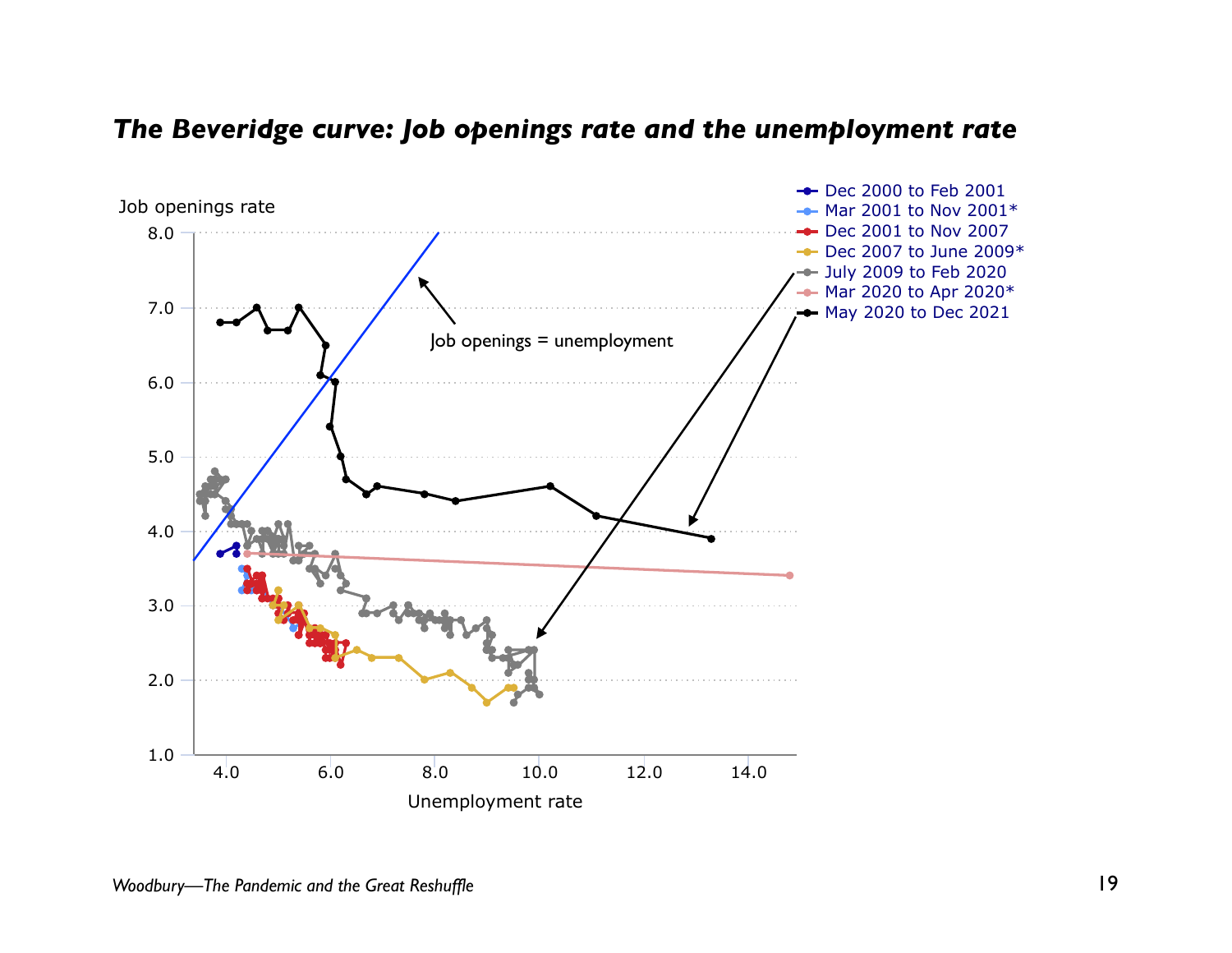#### The Beveridge curve: Job openings rate and the unemployment rate

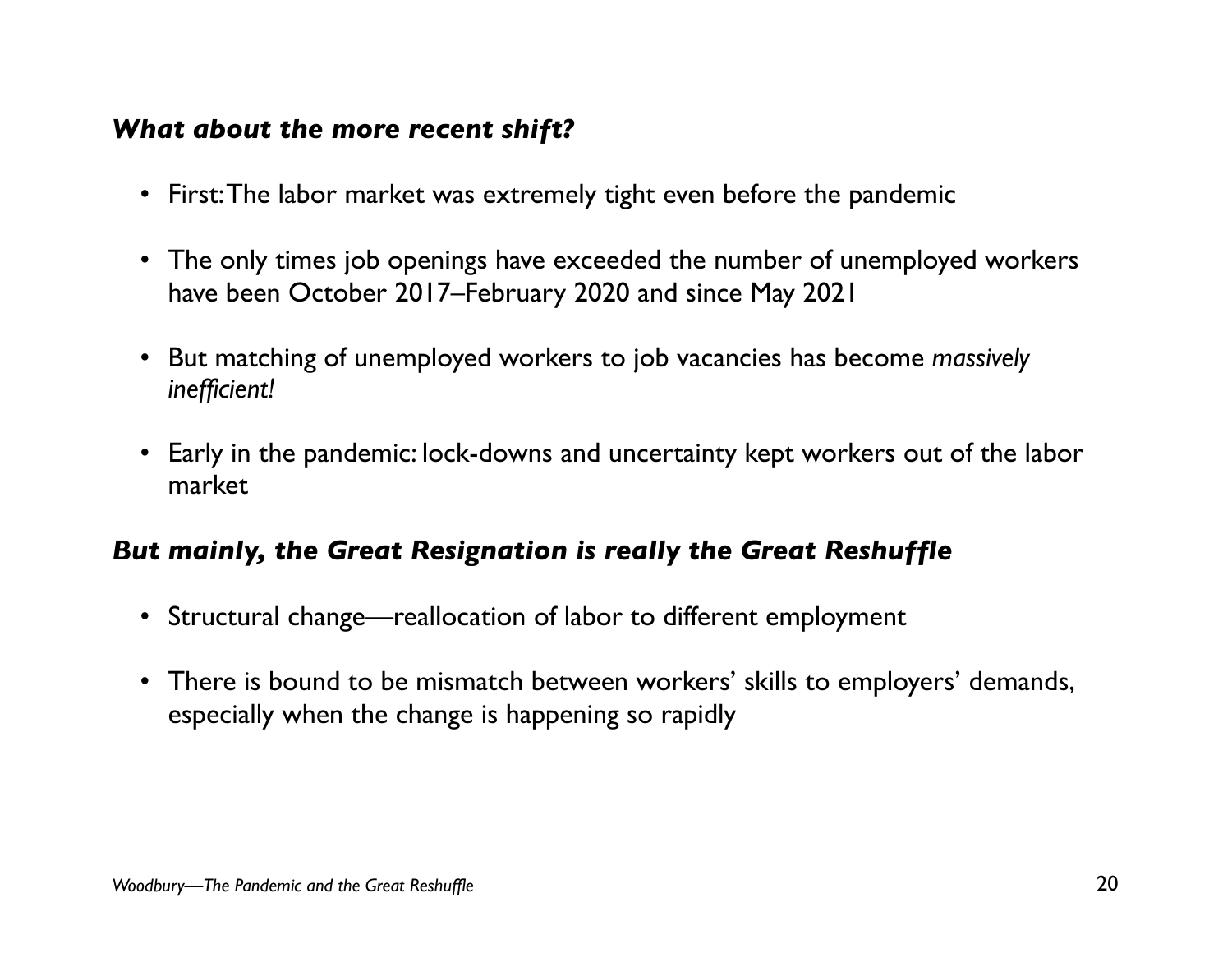#### *What about the more recent shift?*

- First: The labor market was extremely tight even before the pandemic
- The only times job openings have exceeded the number of unemployed workers have been October 2017–February 2020 and since May 2021
- But matching of unemployed workers to job vacancies has become *massively inefficient!*
- Early in the pandemic: lock-downs and uncertainty kept workers out of the labor market

#### *But mainly, the Great Resignation is really the Great Reshuffle*

- Structural change—reallocation of labor to different employment
- There is bound to be mismatch between workers' skills to employers' demands, especially when the change is happening so rapidly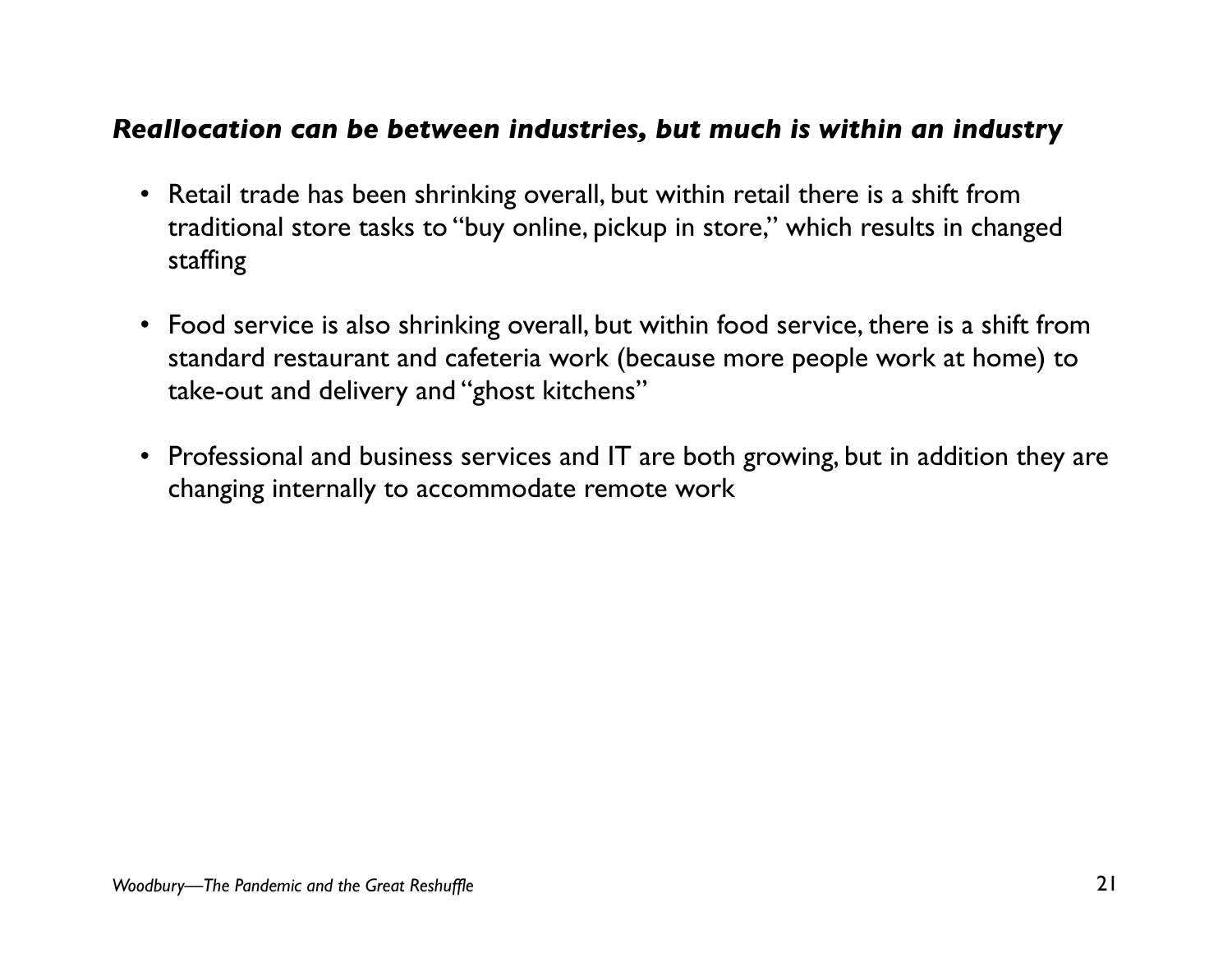#### *Reallocation can be between industries, but much is within an industry*

- Retail trade has been shrinking overall, but within retail there is a shift from traditional store tasks to "buy online, pickup in store," which results in changed staffing
- Food service is also shrinking overall, but within food service, there is a shift from standard restaurant and cafeteria work (because more people work at home) to take-out and delivery and "ghost kitchens"
- Professional and business services and IT are both growing, but in addition they are changing internally to accommodate remote work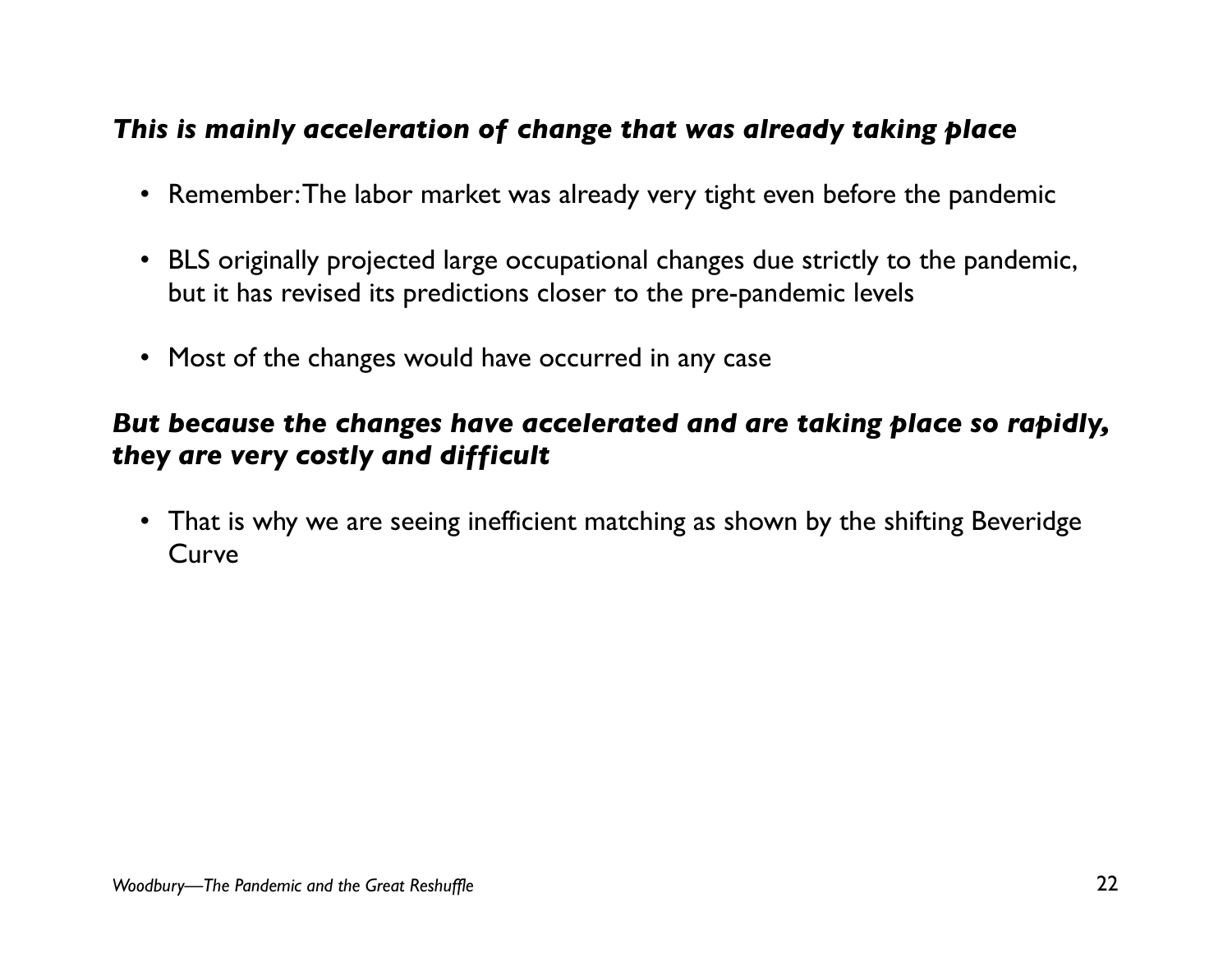#### *This is mainly acceleration of change that was already taking place*

- Remember: The labor market was already very tight even before the pandemic
- BLS originally projected large occupational changes due strictly to the pandemic, but it has revised its predictions closer to the pre-pandemic levels
- Most of the changes would have occurred in any case

### *But because the changes have accelerated and are taking place so rapidly, they are very costly and difficult*

• That is why we are seeing inefficient matching as shown by the shifting Beveridge Curve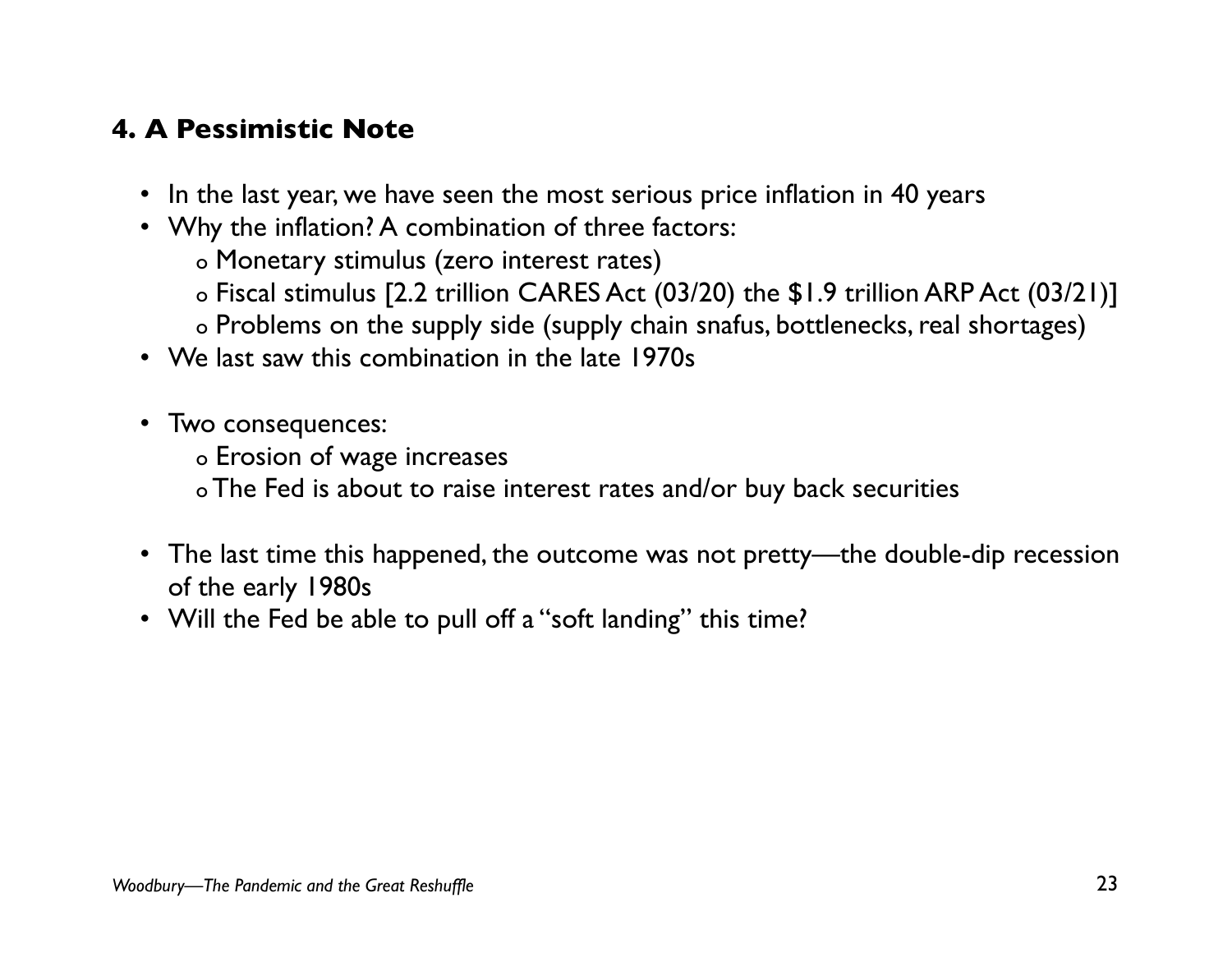### **4. A Pessimistic Note**

- In the last year, we have seen the most serious price inflation in 40 years
- Why the inflation? A combination of three factors:
	- o Monetary stimulus (zero interest rates)
	- o Fiscal stimulus [2.2 trillion CARES Act (03/20) the \$1.9 trillion ARP Act (03/21)]
	- o Problems on the supply side (supply chain snafus, bottlenecks, real shortages)
- We last saw this combination in the late 1970s
- Two consequences:
	- o Erosion of wage increases
	- o The Fed is about to raise interest rates and/or buy back securities
- The last time this happened, the outcome was not pretty—the double-dip recession of the early 1980s
- Will the Fed be able to pull off a "soft landing" this time?